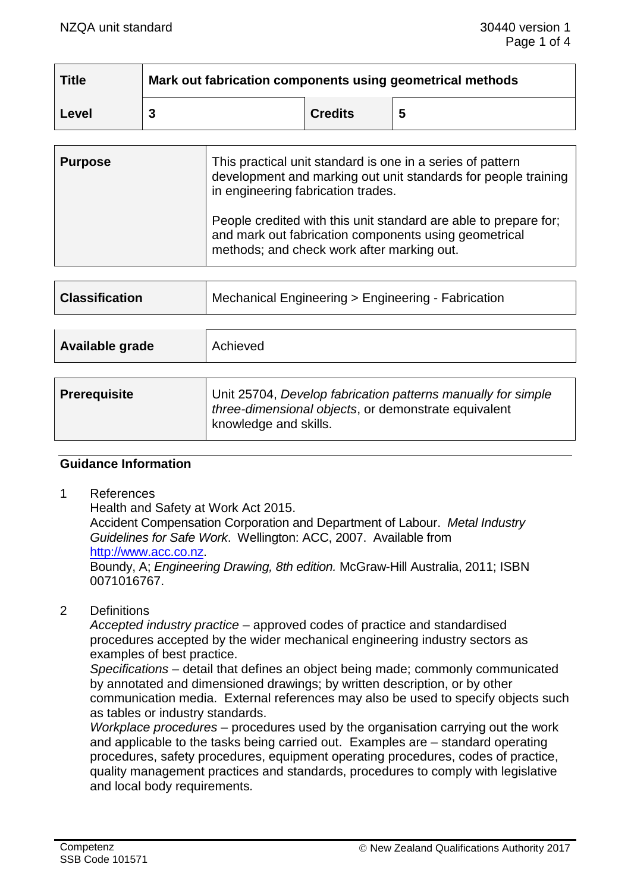| <b>Title</b> | Mark out fabrication components using geometrical methods |                |   |
|--------------|-----------------------------------------------------------|----------------|---|
| Level        |                                                           | <b>Credits</b> | 5 |

| <b>Purpose</b> | This practical unit standard is one in a series of pattern<br>development and marking out unit standards for people training<br>in engineering fabrication trades.      |
|----------------|-------------------------------------------------------------------------------------------------------------------------------------------------------------------------|
|                | People credited with this unit standard are able to prepare for;<br>and mark out fabrication components using geometrical<br>methods; and check work after marking out. |

| Available grade | Achieved |
|-----------------|----------|
|                 |          |
|                 |          |

| <b>Prerequisite</b> | Unit 25704, Develop fabrication patterns manually for simple<br>three-dimensional objects, or demonstrate equivalent<br>knowledge and skills. |
|---------------------|-----------------------------------------------------------------------------------------------------------------------------------------------|
|                     |                                                                                                                                               |

#### **Guidance Information**

1 References

Health and Safety at Work Act 2015.

Accident Compensation Corporation and Department of Labour. *Metal Industry Guidelines for Safe Work*. Wellington: ACC, 2007. Available from [http://www.acc.co.nz.](http://www.acc.co.nz/)

Boundy, A; *Engineering Drawing, 8th edition.* McGraw-Hill Australia, 2011; ISBN 0071016767.

2 Definitions

*Accepted industry practice –* approved codes of practice and standardised procedures accepted by the wider mechanical engineering industry sectors as examples of best practice.

*Specifications –* detail that defines an object being made; commonly communicated by annotated and dimensioned drawings; by written description, or by other communication media. External references may also be used to specify objects such as tables or industry standards.

*Workplace procedures –* procedures used by the organisation carrying out the work and applicable to the tasks being carried out. Examples are – standard operating procedures, safety procedures, equipment operating procedures, codes of practice, quality management practices and standards, procedures to comply with legislative and local body requirements*.*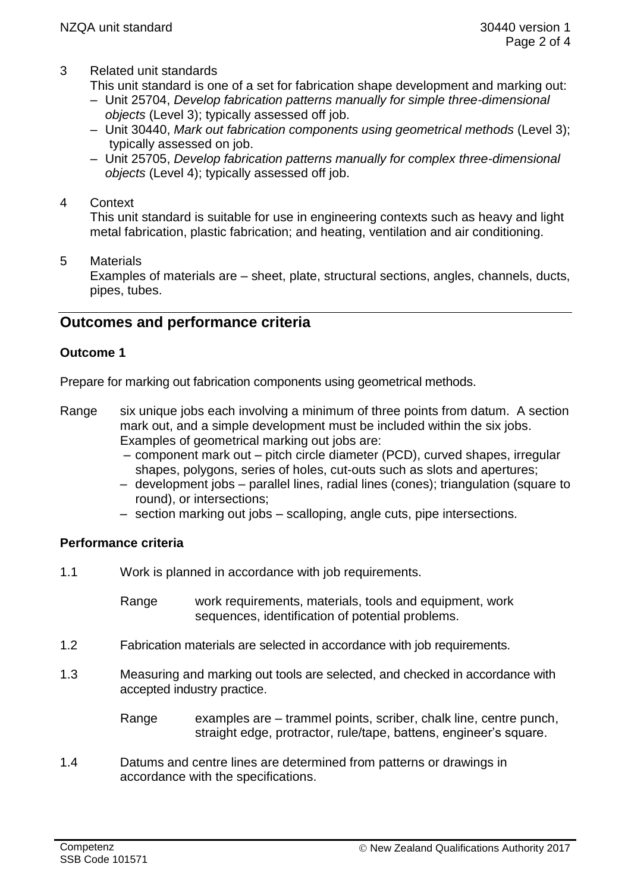3 Related unit standards

This unit standard is one of a set for fabrication shape development and marking out:

- Unit 25704, *Develop fabrication patterns manually for simple three-dimensional objects* (Level 3); typically assessed off job.
- Unit 30440, *Mark out fabrication components using geometrical methods* (Level 3); typically assessed on job.
- Unit 25705, *Develop fabrication patterns manually for complex three-dimensional objects* (Level 4); typically assessed off job.
- 4 Context

This unit standard is suitable for use in engineering contexts such as heavy and light metal fabrication, plastic fabrication; and heating, ventilation and air conditioning.

5 Materials

Examples of materials are – sheet, plate, structural sections, angles, channels, ducts, pipes, tubes.

# **Outcomes and performance criteria**

### **Outcome 1**

Prepare for marking out fabrication components using geometrical methods.

- Range six unique jobs each involving a minimum of three points from datum. A section mark out, and a simple development must be included within the six jobs. Examples of geometrical marking out jobs are:
	- component mark out pitch circle diameter (PCD), curved shapes, irregular shapes, polygons, series of holes, cut-outs such as slots and apertures;
	- development jobs parallel lines, radial lines (cones); triangulation (square to round), or intersections;
	- section marking out jobs scalloping, angle cuts, pipe intersections.

# **Performance criteria**

1.1 Work is planned in accordance with job requirements.

Range work requirements, materials, tools and equipment, work sequences, identification of potential problems.

- 1.2 Fabrication materials are selected in accordance with job requirements.
- 1.3 Measuring and marking out tools are selected, and checked in accordance with accepted industry practice.
	- Range examples are trammel points, scriber, chalk line, centre punch, straight edge, protractor, rule/tape, battens, engineer's square.
- 1.4 Datums and centre lines are determined from patterns or drawings in accordance with the specifications.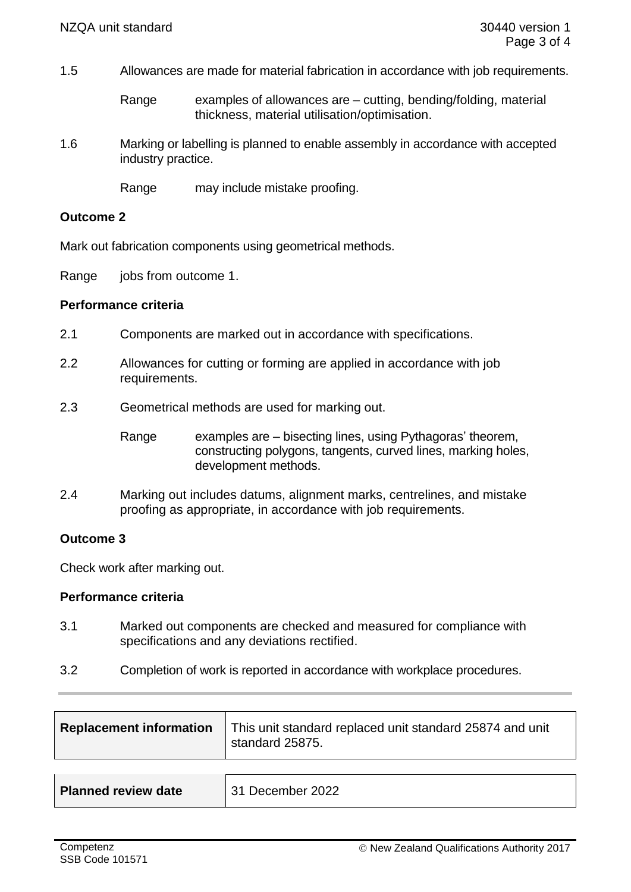1.5 Allowances are made for material fabrication in accordance with job requirements.

Range examples of allowances are  $-$  cutting, bending/folding, material thickness, material utilisation/optimisation.

1.6 Marking or labelling is planned to enable assembly in accordance with accepted industry practice.

Range may include mistake proofing.

#### **Outcome 2**

Mark out fabrication components using geometrical methods.

Range jobs from outcome 1.

### **Performance criteria**

- 2.1 Components are marked out in accordance with specifications.
- 2.2 Allowances for cutting or forming are applied in accordance with job requirements.
- 2.3 Geometrical methods are used for marking out.

Range examples are – bisecting lines, using Pythagoras' theorem, constructing polygons, tangents, curved lines, marking holes, development methods.

2.4 Marking out includes datums, alignment marks, centrelines, and mistake proofing as appropriate, in accordance with job requirements.

### **Outcome 3**

Check work after marking out.

#### **Performance criteria**

- 3.1 Marked out components are checked and measured for compliance with specifications and any deviations rectified.
- 3.2 Completion of work is reported in accordance with workplace procedures.

| <b>Replacement information</b>   This unit standard replaced unit standard 25874 and unit<br>standard 25875. |
|--------------------------------------------------------------------------------------------------------------|
|                                                                                                              |

| <b>Planned review date</b> | 31 December 2022 |
|----------------------------|------------------|
|----------------------------|------------------|